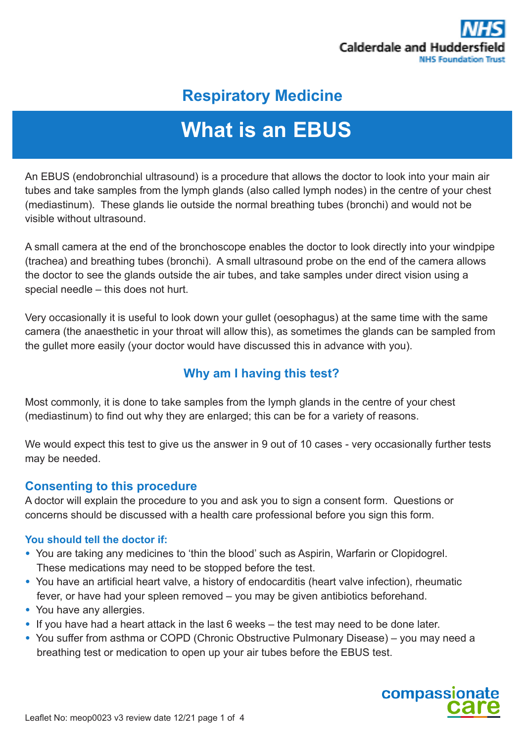

# **Respiratory Medicine**

# **What is an EBUS**

An EBUS (endobronchial ultrasound) is a procedure that allows the doctor to look into your main air tubes and take samples from the lymph glands (also called lymph nodes) in the centre of your chest (mediastinum). These glands lie outside the normal breathing tubes (bronchi) and would not be visible without ultrasound.

A small camera at the end of the bronchoscope enables the doctor to look directly into your windpipe (trachea) and breathing tubes (bronchi). A small ultrasound probe on the end of the camera allows the doctor to see the glands outside the air tubes, and take samples under direct vision using a special needle – this does not hurt.

Very occasionally it is useful to look down your gullet (oesophagus) at the same time with the same camera (the anaesthetic in your throat will allow this), as sometimes the glands can be sampled from the gullet more easily (your doctor would have discussed this in advance with you).

# **Why am I having this test?**

Most commonly, it is done to take samples from the lymph glands in the centre of your chest (mediastinum) to find out why they are enlarged; this can be for a variety of reasons.

We would expect this test to give us the answer in 9 out of 10 cases - very occasionally further tests may be needed.

#### **Consenting to this procedure**

A doctor will explain the procedure to you and ask you to sign a consent form. Questions or concerns should be discussed with a health care professional before you sign this form.

#### **You should tell the doctor if:**

- You are taking any medicines to 'thin the blood' such as Aspirin, Warfarin or Clopidogrel. These medications may need to be stopped before the test.
- You have an artificial heart valve, a history of endocarditis (heart valve infection), rheumatic fever, or have had your spleen removed – you may be given antibiotics beforehand.
- You have any allergies.
- If you have had a heart attack in the last 6 weeks the test may need to be done later.
- You suffer from asthma or COPD (Chronic Obstructive Pulmonary Disease) you may need a breathing test or medication to open up your air tubes before the EBUS test.

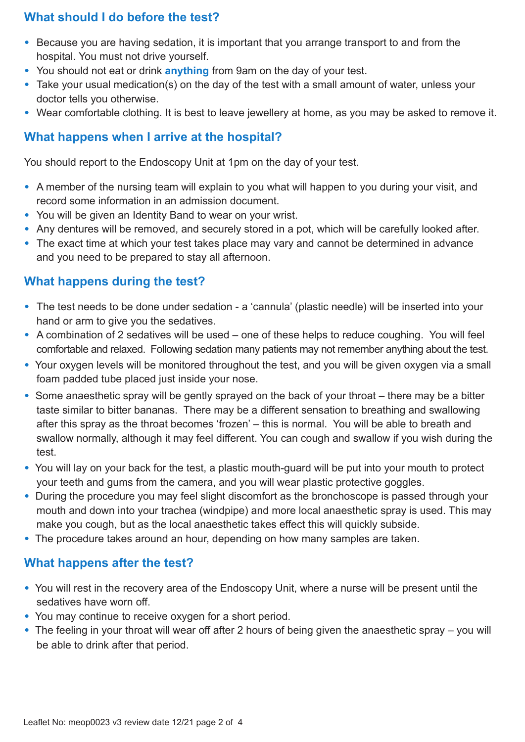# **What should I do before the test?**

- Because you are having sedation, it is important that you arrange transport to and from the hospital. You must not drive yourself.
- You should not eat or drink **anything** from 9am on the day of your test.
- Take your usual medication(s) on the day of the test with a small amount of water, unless your doctor tells you otherwise.
- Wear comfortable clothing. It is best to leave jewellery at home, as you may be asked to remove it.

# **What happens when I arrive at the hospital?**

You should report to the Endoscopy Unit at 1pm on the day of your test.

- A member of the nursing team will explain to you what will happen to you during your visit, and record some information in an admission document.
- You will be given an Identity Band to wear on your wrist.
- Any dentures will be removed, and securely stored in a pot, which will be carefully looked after.
- The exact time at which your test takes place may vary and cannot be determined in advance and you need to be prepared to stay all afternoon.

# **What happens during the test?**

- The test needs to be done under sedation a 'cannula' (plastic needle) will be inserted into your hand or arm to give you the sedatives.
- A combination of 2 sedatives will be used one of these helps to reduce coughing. You will feel comfortable and relaxed. Following sedation many patients may not remember anything about the test.
- Your oxygen levels will be monitored throughout the test, and you will be given oxygen via a small foam padded tube placed just inside your nose.
- Some anaesthetic spray will be gently sprayed on the back of your throat there may be a bitter taste similar to bitter bananas. There may be a different sensation to breathing and swallowing after this spray as the throat becomes 'frozen' – this is normal. You will be able to breath and swallow normally, although it may feel different. You can cough and swallow if you wish during the test.
- You will lay on your back for the test, a plastic mouth-guard will be put into your mouth to protect your teeth and gums from the camera, and you will wear plastic protective goggles.
- During the procedure you may feel slight discomfort as the bronchoscope is passed through your mouth and down into your trachea (windpipe) and more local anaesthetic spray is used. This may make you cough, but as the local anaesthetic takes effect this will quickly subside.
- The procedure takes around an hour, depending on how many samples are taken.

# **What happens after the test?**

- You will rest in the recovery area of the Endoscopy Unit, where a nurse will be present until the sedatives have worn off.
- You may continue to receive oxygen for a short period.
- The feeling in your throat will wear off after 2 hours of being given the anaesthetic spray you will be able to drink after that period.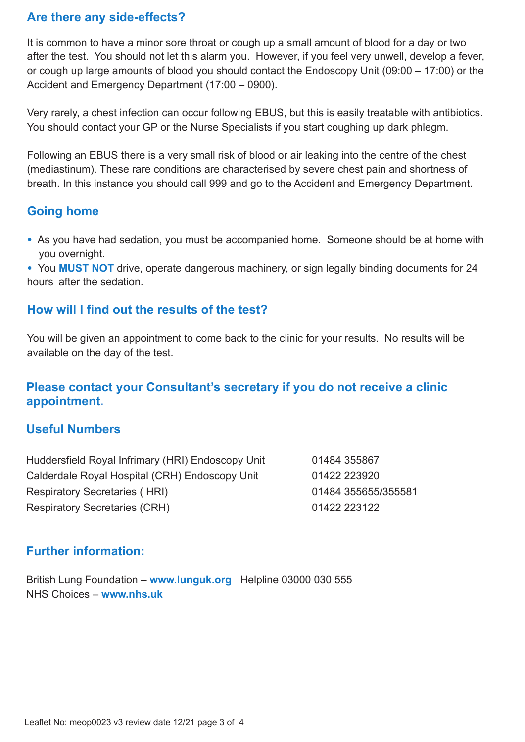#### **Are there any side-effects?**

It is common to have a minor sore throat or cough up a small amount of blood for a day or two after the test. You should not let this alarm you. However, if you feel very unwell, develop a fever, or cough up large amounts of blood you should contact the Endoscopy Unit (09:00 – 17:00) or the Accident and Emergency Department (17:00 – 0900).

Very rarely, a chest infection can occur following EBUS, but this is easily treatable with antibiotics. You should contact your GP or the Nurse Specialists if you start coughing up dark phlegm.

Following an EBUS there is a very small risk of blood or air leaking into the centre of the chest (mediastinum). These rare conditions are characterised by severe chest pain and shortness of breath. In this instance you should call 999 and go to the Accident and Emergency Department.

## **Going home**

• As you have had sedation, you must be accompanied home. Someone should be at home with you overnight.

• You **MUST NOT** drive, operate dangerous machinery, or sign legally binding documents for 24 hours after the sedation.

#### **How will I find out the results of the test?**

You will be given an appointment to come back to the clinic for your results. No results will be available on the day of the test.

# **Please contact your Consultant's secretary if you do not receive a clinic appointment.**

## **Useful Numbers**

| Huddersfield Royal Infrimary (HRI) Endoscopy Unit | 01484 355867        |
|---------------------------------------------------|---------------------|
| Calderdale Royal Hospital (CRH) Endoscopy Unit    | 01422 223920        |
| <b>Respiratory Secretaries (HRI)</b>              | 01484 355655/355581 |
| <b>Respiratory Secretaries (CRH)</b>              | 01422 223122        |

#### **Further information:**

British Lung Foundation – **www.lunguk.org** Helpline 03000 030 555 NHS Choices – **www.nhs.uk**